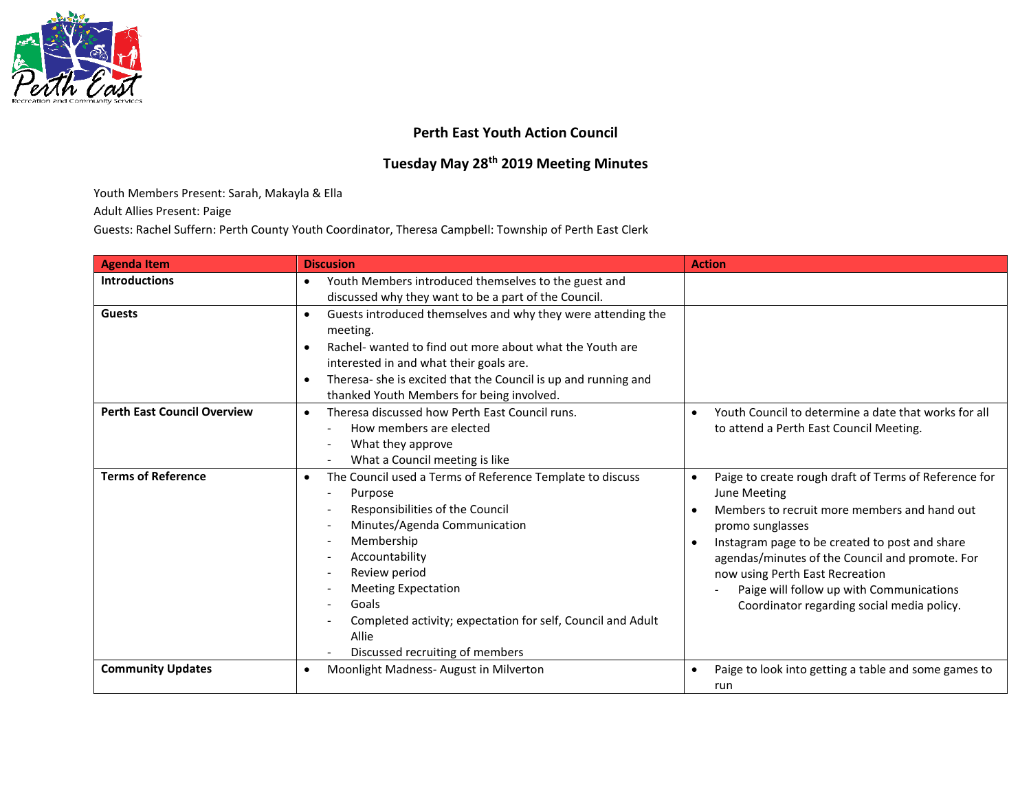

## **Perth East Youth Action Council**

## **Tuesday May 28th 2019 Meeting Minutes**

## Youth Members Present: Sarah, Makayla & Ella

Adult Allies Present: Paige

Guests: Rachel Suffern: Perth County Youth Coordinator, Theresa Campbell: Township of Perth East Clerk

| <b>Agenda Item</b>                 | <b>Discusion</b>                                                                                                                                                                                                                                                                                                                                                                                                                            | <b>Action</b>                                                                                                                                                                                                                                                                                                                                                                            |
|------------------------------------|---------------------------------------------------------------------------------------------------------------------------------------------------------------------------------------------------------------------------------------------------------------------------------------------------------------------------------------------------------------------------------------------------------------------------------------------|------------------------------------------------------------------------------------------------------------------------------------------------------------------------------------------------------------------------------------------------------------------------------------------------------------------------------------------------------------------------------------------|
| <b>Introductions</b>               | Youth Members introduced themselves to the guest and<br>$\bullet$<br>discussed why they want to be a part of the Council.                                                                                                                                                                                                                                                                                                                   |                                                                                                                                                                                                                                                                                                                                                                                          |
| <b>Guests</b>                      | Guests introduced themselves and why they were attending the<br>$\bullet$<br>meeting.<br>Rachel- wanted to find out more about what the Youth are<br>$\bullet$<br>interested in and what their goals are.<br>Theresa- she is excited that the Council is up and running and<br>$\bullet$<br>thanked Youth Members for being involved.                                                                                                       |                                                                                                                                                                                                                                                                                                                                                                                          |
| <b>Perth East Council Overview</b> | Theresa discussed how Perth East Council runs.<br>$\bullet$<br>How members are elected<br>What they approve<br>$\overline{\phantom{a}}$<br>What a Council meeting is like                                                                                                                                                                                                                                                                   | Youth Council to determine a date that works for all<br>to attend a Perth East Council Meeting.                                                                                                                                                                                                                                                                                          |
| <b>Terms of Reference</b>          | The Council used a Terms of Reference Template to discuss<br>$\bullet$<br>Purpose<br>$\overline{\phantom{a}}$<br>Responsibilities of the Council<br>Minutes/Agenda Communication<br>Membership<br>Accountability<br>$\overline{\phantom{a}}$<br>Review period<br><b>Meeting Expectation</b><br>Goals<br>$\overline{\phantom{a}}$<br>Completed activity; expectation for self, Council and Adult<br>Allie<br>Discussed recruiting of members | Paige to create rough draft of Terms of Reference for<br>$\bullet$<br>June Meeting<br>Members to recruit more members and hand out<br>promo sunglasses<br>Instagram page to be created to post and share<br>agendas/minutes of the Council and promote. For<br>now using Perth East Recreation<br>Paige will follow up with Communications<br>Coordinator regarding social media policy. |
| <b>Community Updates</b>           | Moonlight Madness-August in Milverton<br>$\bullet$                                                                                                                                                                                                                                                                                                                                                                                          | Paige to look into getting a table and some games to<br>$\bullet$<br>run                                                                                                                                                                                                                                                                                                                 |